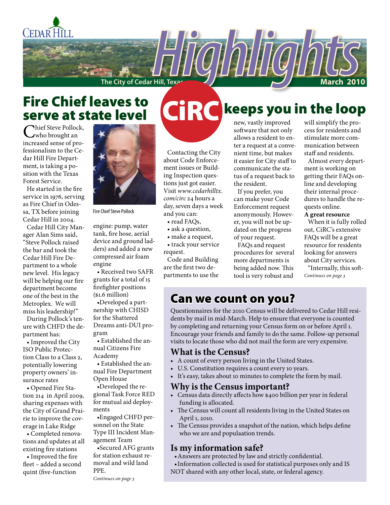

# **Fire Chief leaves to<br>serve at state level** serve at state level

Chief Steve Pollock, increased sense of professionalism to the Cedar Hill Fire Department, is taking a position with the Texas Forest Service.

He started in the fire service in 1976, serving as Fire Chief in Odessa, TX before joining Cedar Hill in 2004.

Cedar Hill City Manager Alan Sims said, "Steve Pollock raised the bar and took the Cedar Hill Fire Department to a whole new level. His legacy will be helping our fire department become one of the best in the Metroplex. We will miss his leadership!"

During Pollock's tenure with CHFD the department has:

• Improved the City ISO Public Protection Class to a Class 2, potentially lowering property owners' insurance rates

• Opened Fire Station 214 in April 2009, sharing expenses with the City of Grand Prairie to improve the coverage in Lake Ridge

• Completed renovations and updates at all existing fire stations

• Improved the fire fleet – added a second quint (five-function



Fire Chief Steve Pollock

engine: pump, water tank, fire hose, aerial device and ground ladders) and added a new compressed air foam engine

• Received two SAFR grants for a total of 15 firefighter positions (\$1.6 million)

•Developed a partnership with CHISD for the Shattered Dreams anti-DUI program

• Established the annual Citizens Fire Academy

• Established the annual Fire Department Open House

•Developed the regional Task Force RED for mutual aid deployments

•Engaged CHFD personnel on the State Type III Incident Management Team

•Secured AFG grants for station exhaust removal and wild land PPE.

*Continues on page 3*

# **CARC** keeps you in the loop

Contacting the City about Code Enforcement issues or Building Inspection questions just got easier. Visit *www.cedarhilltx. com/circ* 24 hours a day, seven days a week and you can:

• read FAQs,

- ask a question,
- make a request,

• track your service request.

Code and Building are the first two departments to use the new, vastly improved software that not only allows a resident to enter a request at a convenient time, but makes it easier for City staff to communicate the status of a request back to the resident.

If you prefer, you can make your Code Enforcement request anonymously. However, you will not be updated on the progress of your request.

FAQs and request procedures for several more departments is being added now. This tool is very robust and

will simplify the process for residents and stimulate more communication between staff and residents.

Almost every department is working on getting their FAQs online and developing their internal procedures to handle the requests online.

#### **A great resource**

When it is fully rolled out, CiRC's extensive FAQs will be a great resource for residents looking for answers about City services.

"Internally, this soft-*Continues on page 3*

#### Can we count on you?

Questionnaires for the 2010 Census will be delivered to Cedar Hill residents by mail in mid-March. Help to ensure that everyone is counted by completing and returning your Census form on or before April 1. Encourage your friends and family to do the same. Follow-up personal visits to locate those who did not mail the form are very expensive.

#### **What is the Census?**

- A count of every person living in the United States.
- U.S. Constitution requires a count every 10 years.
- It's easy, takes about 10 minutes to complete the form by mail.

#### **Why is the Census important?**

- Census data directly affects how \$400 billion per year in federal funding is allocated.
- The Census will count all residents living in the United States on April 1, 2010.
- The Census provides a snapshot of the nation, which helps define who we are and populaation trends.

#### **Is my information safe?**

- •Answers are protected by law and strictly confidential.
- •Information collected is used for statistical purposes only and IS NOT shared with any other local, state, or federal agency.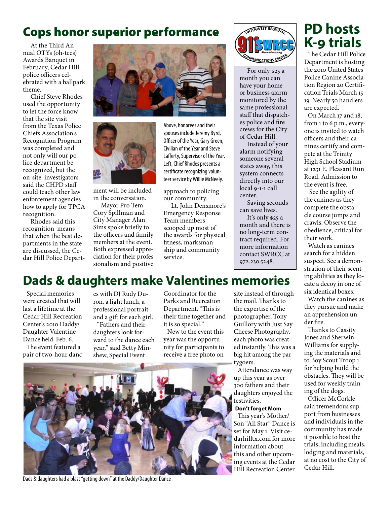## Cops honor superior performance

At the Third Annual OTYs (oh-tees) Awards Banquet in February, Cedar Hill police officers celebrated with a ballpark theme.

Chief Steve Rhodes used the opportunity to let the force know that the site visit from the Texas Police Chiefs Association's Recognition Program was completed and not only will our police department be recognized, but the on-site investigators said the CHPD staff could teach other law enforcement agencies how to apply for TPCA recognition.

Rhodes said this recognition means that when the best departments in the state are discussed, the Cedar Hill Police Depart-





ment will be included in the conversation.

Mayor Pro Tem Cory Spillman and City Manager Alan Sims spoke briefly to the officers and family members at the event. Both expressed appreciation for their professionalism and positive

Above, honorees and their spouses include Jeremy Byrd, Officer of the Year, Gary Green, Civilian of the Year and Steve Lafferty, Supervisor of the Year. Left, Chief Rhodes presents a certificate recognizing volunteer service by Willie McNeely.

approach to policing our community.

Lt. John Densmore's Emergency Response Team members scooped up most of the awards for physical fitness, marksmanship and community service.



For only \$25 a month you can have your home or business alarm monitored by the same professional staff that dispatches police and fire crews for the City of Cedar Hill.

Instead of your alarm notifying someone several states away, this system connects directly into our local 9-1-1 call center.

Saving seconds can save lives. It's only \$25 a month and there is no long-term contract required. For more information contact SWRCC at 972.230.5248.

# **PD hosts K-9 trials**

The Cedar Hill Police Department is hosting the 2010 United States Police Canine Association Region 20 Certification Trials March 15– 19. Nearly 50 handlers are expected.

On March 17 and 18, from 1 to 6 p.m., everyone is invited to watch officers and their canines certify and compete at the Trinity High School Stadium at 1231 E. Pleasant Run Road. Admission to the event is free.

 See the agility of the canines as they complete the obstacle course jumps and crawls. Observe the obedience, critical for their work.

Watch as canines search for a hidden suspect. See a demonstration of their scenting abilities as they locate a decoy in one of six identical boxes.

Watch the canines as they pursue and make an apprehension under fire.

Thanks to Cassity Jones and Sherwin-Williams for supplying the materials and to Boy Scout Troop 1 for helping build the obstacles. They will be used for weekly training of the dogs.

Officer McCorkle said tremendous support from businesses and individuals in the community has made it possible to host the trials, including meals, lodging and materials, at no cost to the City of Cedar Hill.

# **Dads & daughters make Valentines memories**

Special memories were created that will last a lifetime at the Cedar Hill Recreation Center's 2010 Daddy/ Daughter Valentine Dance held Feb. 6.

The event featured a pair of two-hour dances with DJ Rudy Duron, a light lunch, a professional portrait and a gift for each girl.

"Fathers and their daughters look forward to the dance each year," said Betty Minshew, Special Event

Coordinator for the Parks and Recreation Department. "This is their time together and it is so special."

New to the event this year was the opportunity for participants to receive a free photo on

site instead of through the mail. Thanks to the expertise of the photographer, Tony Guillory with Just Say Cheese Photography, each photo was created instantly. This was a big hit among the partygoers.

Attendance was way up this year as over 300 fathers and their daughters enjoyed the festivities.

#### **Don't forget Mom**

This year's Mother/ Son "All Star" Dance is set for May 1. Visit cedarhilltx.com for more information about this and other upcoming events at the Cedar Hill Recreation Center.



Dads & daughters had a blast "getting down" at the Daddy/Daughter Dance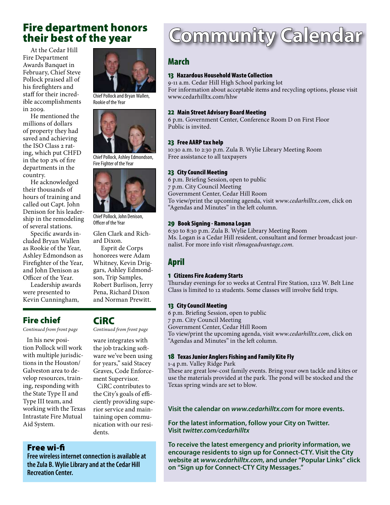### Fire department honors their best of the year

At the Cedar Hill Fire Department Awards Banquet in February, Chief Steve Pollock praised all of his firefighters and staff for their incredible accomplishments in 2009.

He mentioned the millions of dollars of property they had saved and achieving the ISO Class 2 rating, which put CHFD in the top 2% of fire departments in the country.

He acknowledged their thousands of hours of training and called out Capt. John Denison for his leadership in the remodeling of several stations.

Specific awards included Bryan Wallen as Rookie of the Year, Ashley Edmondson as Firefighter of the Year, and John Denison as Officer of the Year.

Leadership awards were presented to Kevin Cunningham,

Fire chief

*Continued from front page Continued from front page*

In his new position Pollock will work with multiple jurisdictions in the Houston/ Galveston area to develop resources, training, responding with the State Type II and Type III team, and working with the Texas Intrastate Fire Mutual Aid System.

#### Free wi-fi

**Free wireless internet connection is available at the Zula B. Wylie Library and at the Cedar Hill Recreation Center.**

**CiRC**<br>Continued from front page

ware integrates with the job tracking software we've been using for years," said Stacey Graves, Code Enforcement Supervisor.

CiRC contributes to the City's goals of efficiently providing superior service and maintaining open communication with our residents.

# Community Calendar

#### March

#### 13 Hazardous Household Waste Collection

9-11 a.m. Cedar Hill High School parking lot For information about acceptable items and recycling options, please visit www.cedarhilltx.com/hhw

#### 22 Main Street Advisory Board Meeting

6 p.m. Government Center, Conference Room D on First Floor Public is invited.

#### 23 Free AARP tax help

10:30 a.m. to 2:30 p.m. Zula B. Wylie Library Meeting Room Free assistance to all taxpayers

#### 23 City Council Meeting

6 p.m. Briefing Session, open to public 7 p.m. City Council Meeting Government Center, Cedar Hill Room To view/print the upcoming agenda, visit *www.cedarhilltx.com*, click on "Agendas and Minutes" in the left column.

#### 29 Book Signing - Ramona Logan

6:30 to 8:30 p.m. Zula B. Wylie Library Meeting Room Ms. Logan is a Cedar Hill resident, consultant and former broadcast journalist. For more info visit *rlimageadvantage.com.*

#### April

#### 1 Citizens Fire Academy Starts

Thursday evenings for 10 weeks at Central Fire Station, 1212 W. Belt Line Class is limited to 12 students. Some classes will involve field trips.

#### 13 City Council Meeting

6 p.m. Briefing Session, open to public 7 p.m. City Council Meeting Government Center, Cedar Hill Room To view/print the upcoming agenda, visit *www.cedarhilltx.com*, click on "Agendas and Minutes" in the left column.

#### 18 Texas Junior Anglers Fishing and Family Kite Fly

1-4 p.m. Valley Ridge Park

These are great low-cost family events. Bring your own tackle and kites or use the materials provided at the park. The pond will be stocked and the Texas spring winds are set to blow.

#### **Visit the calendar on** *www.cedarhilltx.com* **for more events.**

**For the latest information, follow your City on Twitter. Visit** *twitter.com/cedarhilltx*

**To receive the latest emergency and priority information, we encourage residents to sign up for Connect-CTY. Visit the City website at** *www.cedarhilltx.com***, and under "Popular Links" click on "Sign up for Connect-CTY City Messages."**







Chief Pollock, John Denison, Officer of the Year

Glen Clark and Richard Dixon.

Esprit de Corps honorees were Adam Whitney, Kevin Driggars, Ashley Edmondson, Trip Samples, Robert Burlison, Jerry Pena, Richard Dixon and Norman Prewitt.